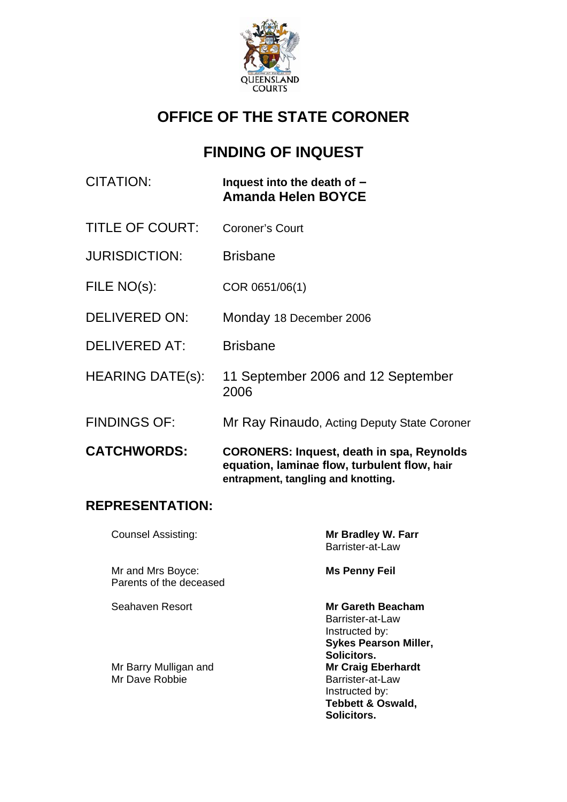

# **OFFICE OF THE STATE CORONER**

# **FINDING OF INQUEST**

| CITATION: | Inquest into the death of $-$ |
|-----------|-------------------------------|
|           | <b>Amanda Helen BOYCE</b>     |

- TITLE OF COURT: Coroner's Court
- JURISDICTION: Brisbane
- FILE NO(s): COR 0651/06(1)
- DELIVERED ON: Monday 18 December 2006
- DELIVERED AT: Brisbane
- HEARING DATE(s): 11 September 2006 and 12 September 2006
- FINDINGS OF: Mr Ray Rinaudo, Acting Deputy State Coroner
- **CATCHWORDS: CORONERS: Inquest, death in spa, Reynolds equation, laminae flow, turbulent flow, hair entrapment, tangling and knotting.**

### **REPRESENTATION:**

| <b>Counsel Assisting:</b>                    | Mr Bradley W. Farr<br>Barrister-at-Law                                                                         |
|----------------------------------------------|----------------------------------------------------------------------------------------------------------------|
| Mr and Mrs Boyce:<br>Parents of the deceased | <b>Ms Penny Feil</b>                                                                                           |
| Seahaven Resort                              | Mr Gareth Beacham<br>Barrister-at-Law<br>Instructed by:<br><b>Sykes Pearson Miller,</b><br>Solicitors.         |
| Mr Barry Mulligan and<br>Mr Dave Robbie      | <b>Mr Craig Eberhardt</b><br>Barrister-at-Law<br>Instructed by:<br><b>Tebbett &amp; Oswald,</b><br>Solicitors. |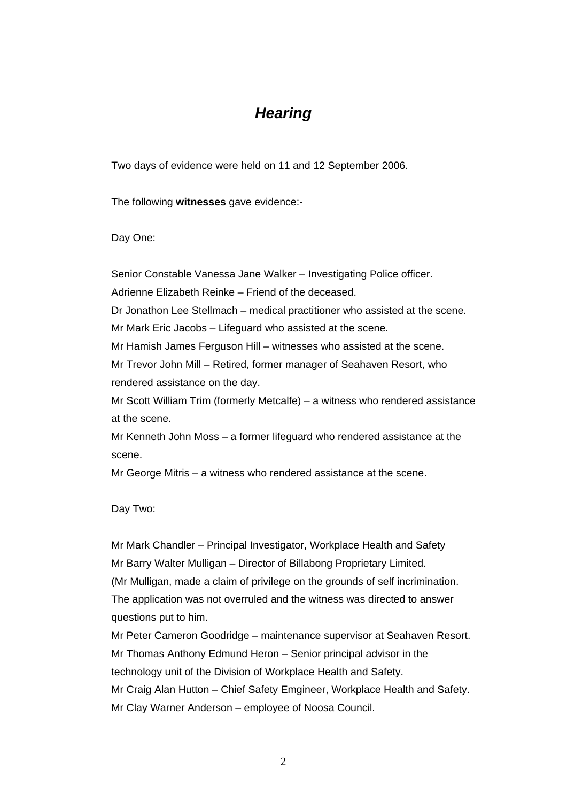## *Hearing*

Two days of evidence were held on 11 and 12 September 2006.

The following **witnesses** gave evidence:-

Day One:

Senior Constable Vanessa Jane Walker – Investigating Police officer.

Adrienne Elizabeth Reinke – Friend of the deceased.

Dr Jonathon Lee Stellmach – medical practitioner who assisted at the scene.

Mr Mark Eric Jacobs – Lifeguard who assisted at the scene.

Mr Hamish James Ferguson Hill – witnesses who assisted at the scene.

Mr Trevor John Mill – Retired, former manager of Seahaven Resort, who rendered assistance on the day.

Mr Scott William Trim (formerly Metcalfe) – a witness who rendered assistance at the scene.

Mr Kenneth John Moss – a former lifeguard who rendered assistance at the scene.

Mr George Mitris – a witness who rendered assistance at the scene.

Day Two:

Mr Mark Chandler – Principal Investigator, Workplace Health and Safety Mr Barry Walter Mulligan – Director of Billabong Proprietary Limited. (Mr Mulligan, made a claim of privilege on the grounds of self incrimination. The application was not overruled and the witness was directed to answer questions put to him.

Mr Peter Cameron Goodridge – maintenance supervisor at Seahaven Resort. Mr Thomas Anthony Edmund Heron – Senior principal advisor in the technology unit of the Division of Workplace Health and Safety. Mr Craig Alan Hutton – Chief Safety Emgineer, Workplace Health and Safety. Mr Clay Warner Anderson – employee of Noosa Council.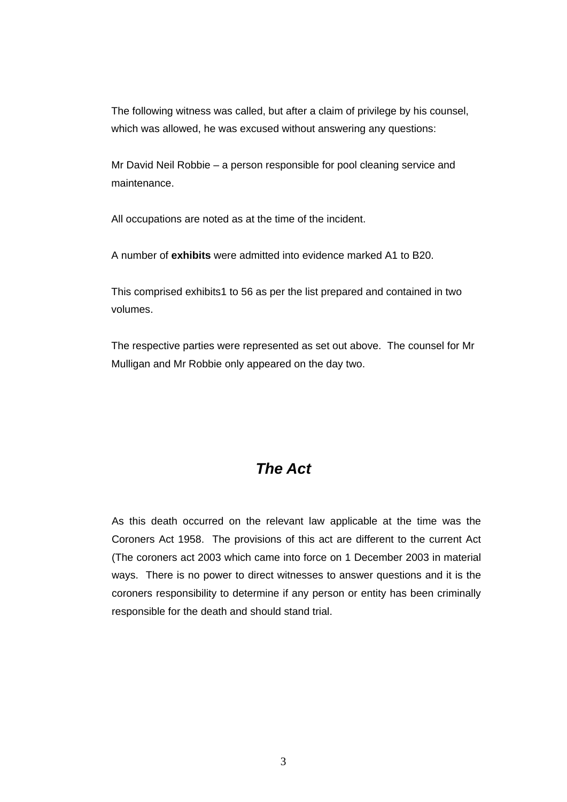The following witness was called, but after a claim of privilege by his counsel, which was allowed, he was excused without answering any questions:

Mr David Neil Robbie – a person responsible for pool cleaning service and maintenance.

All occupations are noted as at the time of the incident.

A number of **exhibits** were admitted into evidence marked A1 to B20.

This comprised exhibits1 to 56 as per the list prepared and contained in two volumes.

The respective parties were represented as set out above. The counsel for Mr Mulligan and Mr Robbie only appeared on the day two.

## *The Act*

As this death occurred on the relevant law applicable at the time was the Coroners Act 1958. The provisions of this act are different to the current Act (The coroners act 2003 which came into force on 1 December 2003 in material ways. There is no power to direct witnesses to answer questions and it is the coroners responsibility to determine if any person or entity has been criminally responsible for the death and should stand trial.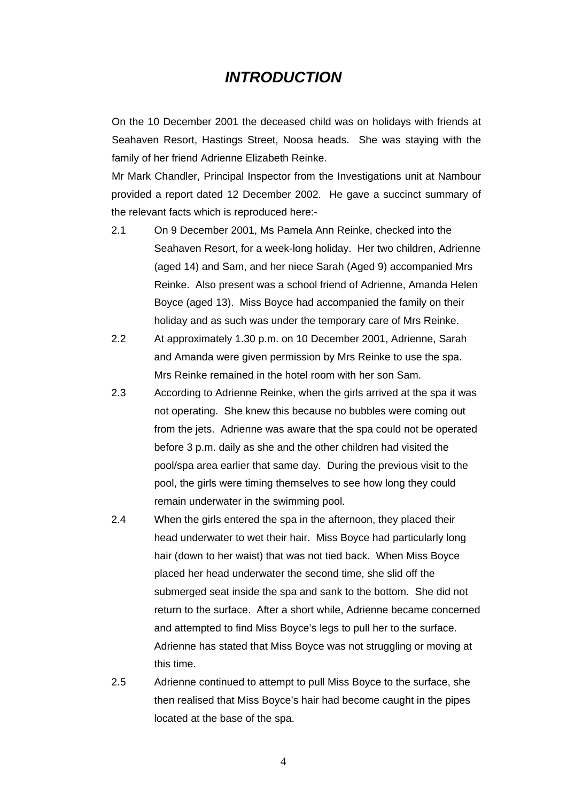## *INTRODUCTION*

On the 10 December 2001 the deceased child was on holidays with friends at Seahaven Resort, Hastings Street, Noosa heads. She was staying with the family of her friend Adrienne Elizabeth Reinke.

Mr Mark Chandler, Principal Inspector from the Investigations unit at Nambour provided a report dated 12 December 2002. He gave a succinct summary of the relevant facts which is reproduced here:-

- 2.1 On 9 December 2001, Ms Pamela Ann Reinke, checked into the Seahaven Resort, for a week-long holiday. Her two children, Adrienne (aged 14) and Sam, and her niece Sarah (Aged 9) accompanied Mrs Reinke. Also present was a school friend of Adrienne, Amanda Helen Boyce (aged 13). Miss Boyce had accompanied the family on their holiday and as such was under the temporary care of Mrs Reinke.
- 2.2 At approximately 1.30 p.m. on 10 December 2001, Adrienne, Sarah and Amanda were given permission by Mrs Reinke to use the spa. Mrs Reinke remained in the hotel room with her son Sam.
- 2.3 According to Adrienne Reinke, when the girls arrived at the spa it was not operating. She knew this because no bubbles were coming out from the jets. Adrienne was aware that the spa could not be operated before 3 p.m. daily as she and the other children had visited the pool/spa area earlier that same day. During the previous visit to the pool, the girls were timing themselves to see how long they could remain underwater in the swimming pool.
- 2.4 When the girls entered the spa in the afternoon, they placed their head underwater to wet their hair. Miss Boyce had particularly long hair (down to her waist) that was not tied back. When Miss Boyce placed her head underwater the second time, she slid off the submerged seat inside the spa and sank to the bottom. She did not return to the surface. After a short while, Adrienne became concerned and attempted to find Miss Boyce's legs to pull her to the surface. Adrienne has stated that Miss Boyce was not struggling or moving at this time.
- 2.5 Adrienne continued to attempt to pull Miss Boyce to the surface, she then realised that Miss Boyce's hair had become caught in the pipes located at the base of the spa.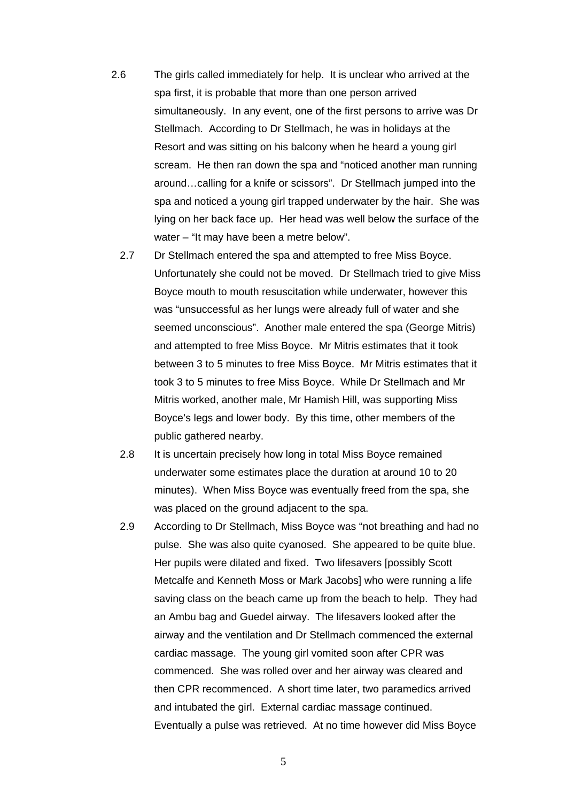- 2.6 The girls called immediately for help. It is unclear who arrived at the spa first, it is probable that more than one person arrived simultaneously. In any event, one of the first persons to arrive was Dr Stellmach. According to Dr Stellmach, he was in holidays at the Resort and was sitting on his balcony when he heard a young girl scream. He then ran down the spa and "noticed another man running around…calling for a knife or scissors". Dr Stellmach jumped into the spa and noticed a young girl trapped underwater by the hair. She was lying on her back face up. Her head was well below the surface of the water – "It may have been a metre below".
	- 2.7 Dr Stellmach entered the spa and attempted to free Miss Boyce. Unfortunately she could not be moved. Dr Stellmach tried to give Miss Boyce mouth to mouth resuscitation while underwater, however this was "unsuccessful as her lungs were already full of water and she seemed unconscious". Another male entered the spa (George Mitris) and attempted to free Miss Boyce. Mr Mitris estimates that it took between 3 to 5 minutes to free Miss Boyce. Mr Mitris estimates that it took 3 to 5 minutes to free Miss Boyce. While Dr Stellmach and Mr Mitris worked, another male, Mr Hamish Hill, was supporting Miss Boyce's legs and lower body. By this time, other members of the public gathered nearby.
	- 2.8 It is uncertain precisely how long in total Miss Boyce remained underwater some estimates place the duration at around 10 to 20 minutes). When Miss Boyce was eventually freed from the spa, she was placed on the ground adjacent to the spa.
	- 2.9 According to Dr Stellmach, Miss Boyce was "not breathing and had no pulse. She was also quite cyanosed. She appeared to be quite blue. Her pupils were dilated and fixed. Two lifesavers [possibly Scott Metcalfe and Kenneth Moss or Mark Jacobs] who were running a life saving class on the beach came up from the beach to help. They had an Ambu bag and Guedel airway. The lifesavers looked after the airway and the ventilation and Dr Stellmach commenced the external cardiac massage. The young girl vomited soon after CPR was commenced. She was rolled over and her airway was cleared and then CPR recommenced. A short time later, two paramedics arrived and intubated the girl. External cardiac massage continued. Eventually a pulse was retrieved. At no time however did Miss Boyce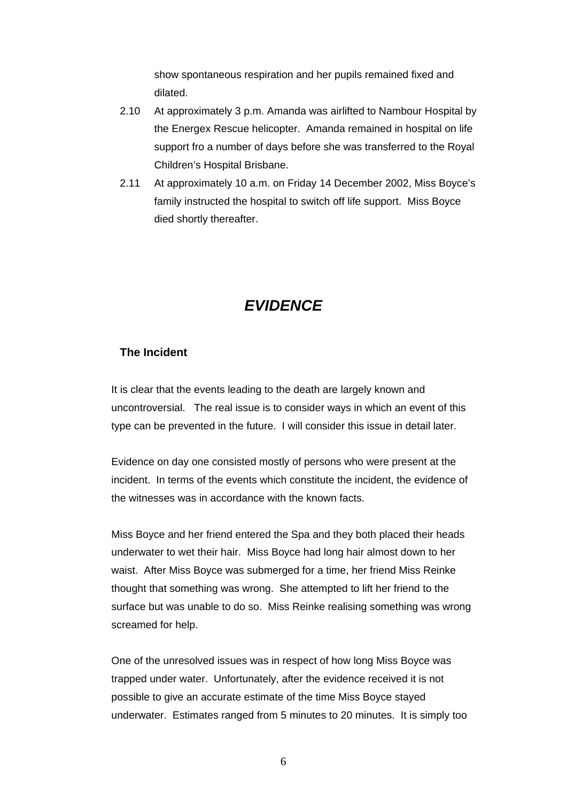show spontaneous respiration and her pupils remained fixed and dilated.

- 2.10 At approximately 3 p.m. Amanda was airlifted to Nambour Hospital by the Energex Rescue helicopter. Amanda remained in hospital on life support fro a number of days before she was transferred to the Royal Children's Hospital Brisbane.
- 2.11 At approximately 10 a.m. on Friday 14 December 2002, Miss Boyce's family instructed the hospital to switch off life support. Miss Boyce died shortly thereafter.

## *EVIDENCE*

#### **The Incident**

It is clear that the events leading to the death are largely known and uncontroversial. The real issue is to consider ways in which an event of this type can be prevented in the future. I will consider this issue in detail later.

Evidence on day one consisted mostly of persons who were present at the incident. In terms of the events which constitute the incident, the evidence of the witnesses was in accordance with the known facts.

Miss Boyce and her friend entered the Spa and they both placed their heads underwater to wet their hair. Miss Boyce had long hair almost down to her waist. After Miss Boyce was submerged for a time, her friend Miss Reinke thought that something was wrong. She attempted to lift her friend to the surface but was unable to do so. Miss Reinke realising something was wrong screamed for help.

One of the unresolved issues was in respect of how long Miss Boyce was trapped under water. Unfortunately, after the evidence received it is not possible to give an accurate estimate of the time Miss Boyce stayed underwater. Estimates ranged from 5 minutes to 20 minutes. It is simply too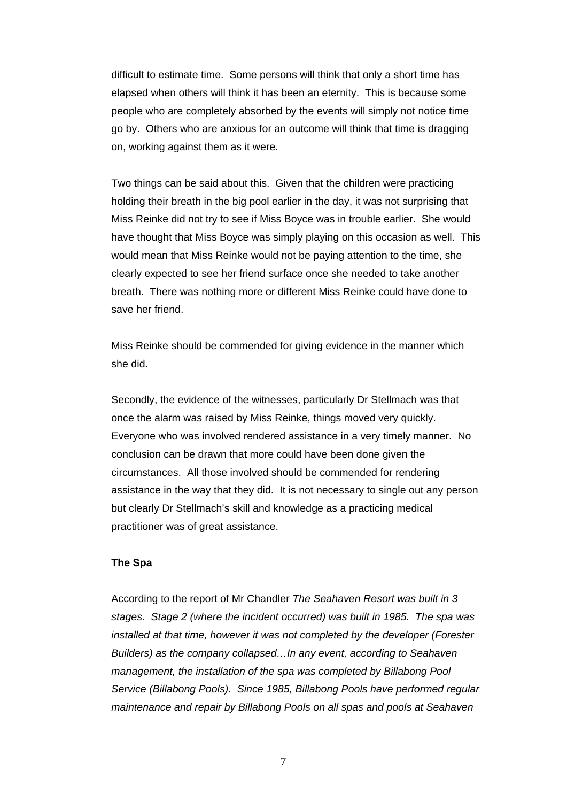difficult to estimate time. Some persons will think that only a short time has elapsed when others will think it has been an eternity. This is because some people who are completely absorbed by the events will simply not notice time go by. Others who are anxious for an outcome will think that time is dragging on, working against them as it were.

Two things can be said about this. Given that the children were practicing holding their breath in the big pool earlier in the day, it was not surprising that Miss Reinke did not try to see if Miss Boyce was in trouble earlier. She would have thought that Miss Boyce was simply playing on this occasion as well. This would mean that Miss Reinke would not be paying attention to the time, she clearly expected to see her friend surface once she needed to take another breath. There was nothing more or different Miss Reinke could have done to save her friend.

Miss Reinke should be commended for giving evidence in the manner which she did.

Secondly, the evidence of the witnesses, particularly Dr Stellmach was that once the alarm was raised by Miss Reinke, things moved very quickly. Everyone who was involved rendered assistance in a very timely manner. No conclusion can be drawn that more could have been done given the circumstances. All those involved should be commended for rendering assistance in the way that they did. It is not necessary to single out any person but clearly Dr Stellmach's skill and knowledge as a practicing medical practitioner was of great assistance.

#### **The Spa**

According to the report of Mr Chandler *The Seahaven Resort was built in 3 stages. Stage 2 (where the incident occurred) was built in 1985. The spa was installed at that time, however it was not completed by the developer (Forester Builders) as the company collapsed…In any event, according to Seahaven management, the installation of the spa was completed by Billabong Pool Service (Billabong Pools). Since 1985, Billabong Pools have performed regular maintenance and repair by Billabong Pools on all spas and pools at Seahaven*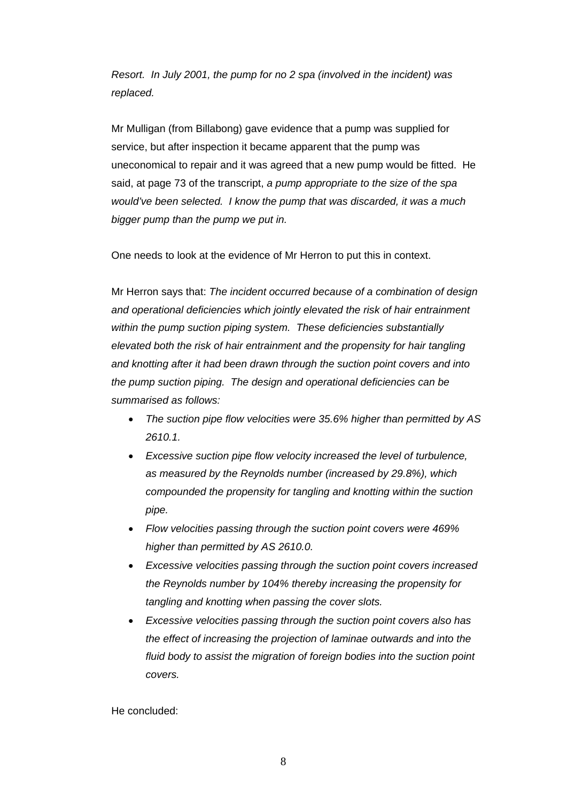*Resort. In July 2001, the pump for no 2 spa (involved in the incident) was replaced.* 

Mr Mulligan (from Billabong) gave evidence that a pump was supplied for service, but after inspection it became apparent that the pump was uneconomical to repair and it was agreed that a new pump would be fitted. He said, at page 73 of the transcript, *a pump appropriate to the size of the spa would've been selected. I know the pump that was discarded, it was a much bigger pump than the pump we put in.* 

One needs to look at the evidence of Mr Herron to put this in context.

Mr Herron says that: *The incident occurred because of a combination of design and operational deficiencies which jointly elevated the risk of hair entrainment within the pump suction piping system. These deficiencies substantially elevated both the risk of hair entrainment and the propensity for hair tangling and knotting after it had been drawn through the suction point covers and into the pump suction piping. The design and operational deficiencies can be summarised as follows:* 

- *The suction pipe flow velocities were 35.6% higher than permitted by AS 2610.1.*
- *Excessive suction pipe flow velocity increased the level of turbulence, as measured by the Reynolds number (increased by 29.8%), which compounded the propensity for tangling and knotting within the suction pipe.*
- *Flow velocities passing through the suction point covers were 469% higher than permitted by AS 2610.0.*
- *Excessive velocities passing through the suction point covers increased the Reynolds number by 104% thereby increasing the propensity for tangling and knotting when passing the cover slots.*
- *Excessive velocities passing through the suction point covers also has the effect of increasing the projection of laminae outwards and into the fluid body to assist the migration of foreign bodies into the suction point covers.*

He concluded: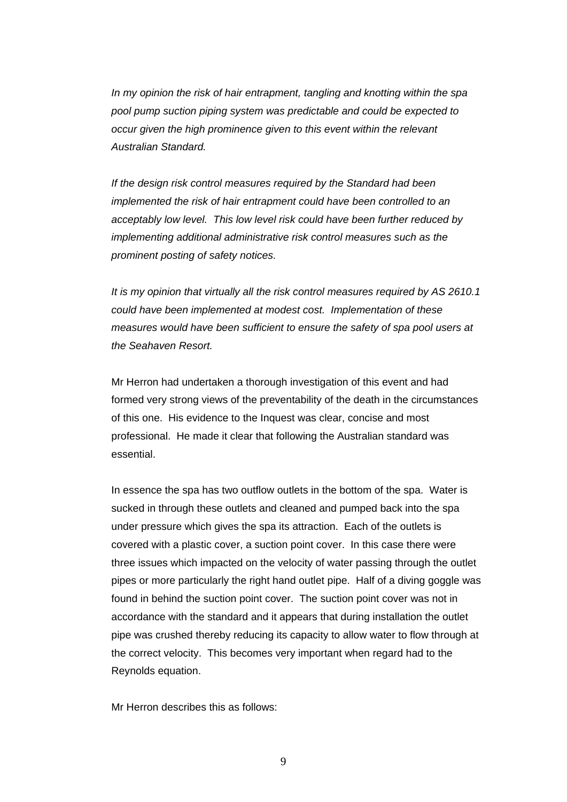*In my opinion the risk of hair entrapment, tangling and knotting within the spa pool pump suction piping system was predictable and could be expected to occur given the high prominence given to this event within the relevant Australian Standard.* 

*If the design risk control measures required by the Standard had been implemented the risk of hair entrapment could have been controlled to an acceptably low level. This low level risk could have been further reduced by implementing additional administrative risk control measures such as the prominent posting of safety notices.* 

*It is my opinion that virtually all the risk control measures required by AS 2610.1 could have been implemented at modest cost. Implementation of these measures would have been sufficient to ensure the safety of spa pool users at the Seahaven Resort.* 

Mr Herron had undertaken a thorough investigation of this event and had formed very strong views of the preventability of the death in the circumstances of this one. His evidence to the Inquest was clear, concise and most professional. He made it clear that following the Australian standard was essential.

In essence the spa has two outflow outlets in the bottom of the spa. Water is sucked in through these outlets and cleaned and pumped back into the spa under pressure which gives the spa its attraction. Each of the outlets is covered with a plastic cover, a suction point cover. In this case there were three issues which impacted on the velocity of water passing through the outlet pipes or more particularly the right hand outlet pipe. Half of a diving goggle was found in behind the suction point cover. The suction point cover was not in accordance with the standard and it appears that during installation the outlet pipe was crushed thereby reducing its capacity to allow water to flow through at the correct velocity. This becomes very important when regard had to the Reynolds equation.

Mr Herron describes this as follows: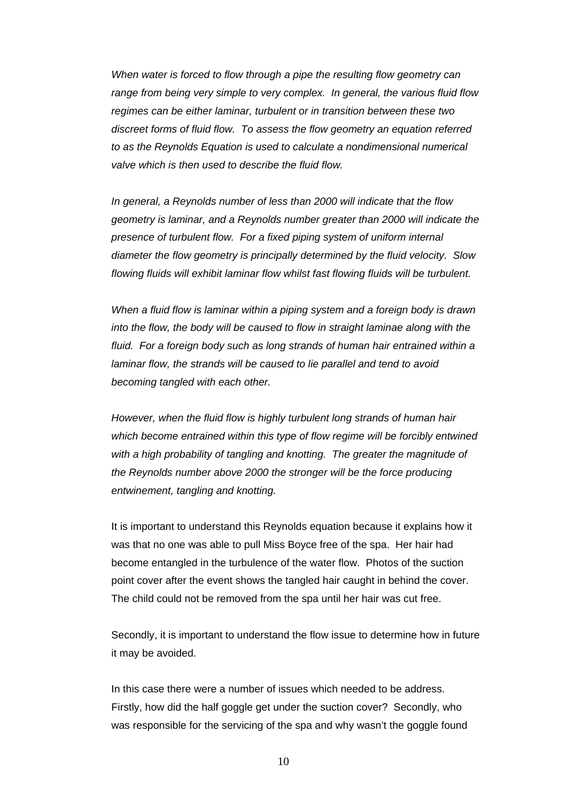*When water is forced to flow through a pipe the resulting flow geometry can range from being very simple to very complex. In general, the various fluid flow regimes can be either laminar, turbulent or in transition between these two discreet forms of fluid flow. To assess the flow geometry an equation referred to as the Reynolds Equation is used to calculate a nondimensional numerical valve which is then used to describe the fluid flow.* 

*In general, a Reynolds number of less than 2000 will indicate that the flow geometry is laminar, and a Reynolds number greater than 2000 will indicate the presence of turbulent flow. For a fixed piping system of uniform internal diameter the flow geometry is principally determined by the fluid velocity. Slow flowing fluids will exhibit laminar flow whilst fast flowing fluids will be turbulent.* 

*When a fluid flow is laminar within a piping system and a foreign body is drawn into the flow, the body will be caused to flow in straight laminae along with the fluid. For a foreign body such as long strands of human hair entrained within a laminar flow, the strands will be caused to lie parallel and tend to avoid becoming tangled with each other.* 

*However, when the fluid flow is highly turbulent long strands of human hair which become entrained within this type of flow regime will be forcibly entwined with a high probability of tangling and knotting. The greater the magnitude of the Reynolds number above 2000 the stronger will be the force producing entwinement, tangling and knotting.* 

It is important to understand this Reynolds equation because it explains how it was that no one was able to pull Miss Boyce free of the spa. Her hair had become entangled in the turbulence of the water flow. Photos of the suction point cover after the event shows the tangled hair caught in behind the cover. The child could not be removed from the spa until her hair was cut free.

Secondly, it is important to understand the flow issue to determine how in future it may be avoided.

In this case there were a number of issues which needed to be address. Firstly, how did the half goggle get under the suction cover? Secondly, who was responsible for the servicing of the spa and why wasn't the goggle found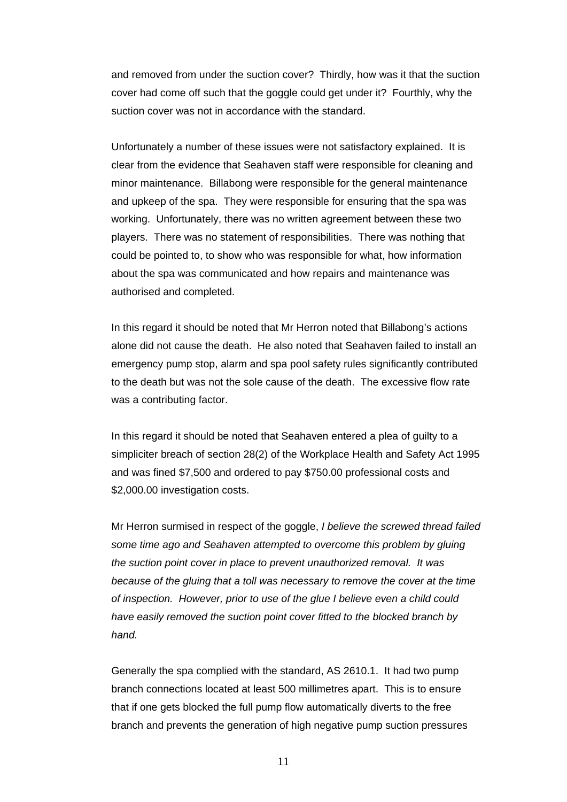and removed from under the suction cover? Thirdly, how was it that the suction cover had come off such that the goggle could get under it? Fourthly, why the suction cover was not in accordance with the standard.

Unfortunately a number of these issues were not satisfactory explained. It is clear from the evidence that Seahaven staff were responsible for cleaning and minor maintenance. Billabong were responsible for the general maintenance and upkeep of the spa. They were responsible for ensuring that the spa was working. Unfortunately, there was no written agreement between these two players. There was no statement of responsibilities. There was nothing that could be pointed to, to show who was responsible for what, how information about the spa was communicated and how repairs and maintenance was authorised and completed.

In this regard it should be noted that Mr Herron noted that Billabong's actions alone did not cause the death. He also noted that Seahaven failed to install an emergency pump stop, alarm and spa pool safety rules significantly contributed to the death but was not the sole cause of the death. The excessive flow rate was a contributing factor.

In this regard it should be noted that Seahaven entered a plea of guilty to a simpliciter breach of section 28(2) of the Workplace Health and Safety Act 1995 and was fined \$7,500 and ordered to pay \$750.00 professional costs and \$2,000.00 investigation costs.

Mr Herron surmised in respect of the goggle, *I believe the screwed thread failed some time ago and Seahaven attempted to overcome this problem by gluing the suction point cover in place to prevent unauthorized removal. It was because of the gluing that a toll was necessary to remove the cover at the time of inspection. However, prior to use of the glue I believe even a child could have easily removed the suction point cover fitted to the blocked branch by hand.*

Generally the spa complied with the standard, AS 2610.1. It had two pump branch connections located at least 500 millimetres apart. This is to ensure that if one gets blocked the full pump flow automatically diverts to the free branch and prevents the generation of high negative pump suction pressures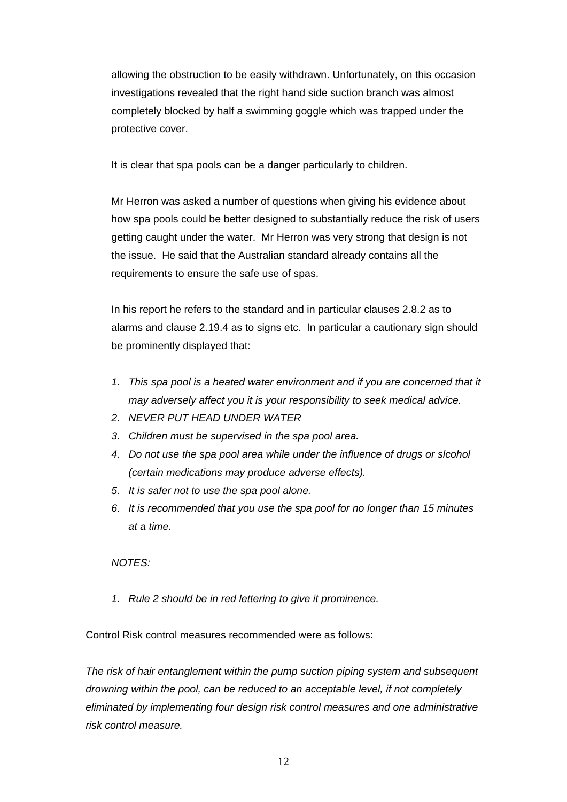allowing the obstruction to be easily withdrawn. Unfortunately, on this occasion investigations revealed that the right hand side suction branch was almost completely blocked by half a swimming goggle which was trapped under the protective cover.

It is clear that spa pools can be a danger particularly to children.

Mr Herron was asked a number of questions when giving his evidence about how spa pools could be better designed to substantially reduce the risk of users getting caught under the water. Mr Herron was very strong that design is not the issue. He said that the Australian standard already contains all the requirements to ensure the safe use of spas.

In his report he refers to the standard and in particular clauses 2.8.2 as to alarms and clause 2.19.4 as to signs etc. In particular a cautionary sign should be prominently displayed that:

- *1. This spa pool is a heated water environment and if you are concerned that it may adversely affect you it is your responsibility to seek medical advice.*
- *2. NEVER PUT HEAD UNDER WATER*
- *3. Children must be supervised in the spa pool area.*
- *4. Do not use the spa pool area while under the influence of drugs or slcohol (certain medications may produce adverse effects).*
- *5. It is safer not to use the spa pool alone.*
- *6. It is recommended that you use the spa pool for no longer than 15 minutes at a time.*

#### *NOTES:*

*1. Rule 2 should be in red lettering to give it prominence.* 

Control Risk control measures recommended were as follows:

*The risk of hair entanglement within the pump suction piping system and subsequent drowning within the pool, can be reduced to an acceptable level, if not completely eliminated by implementing four design risk control measures and one administrative risk control measure.*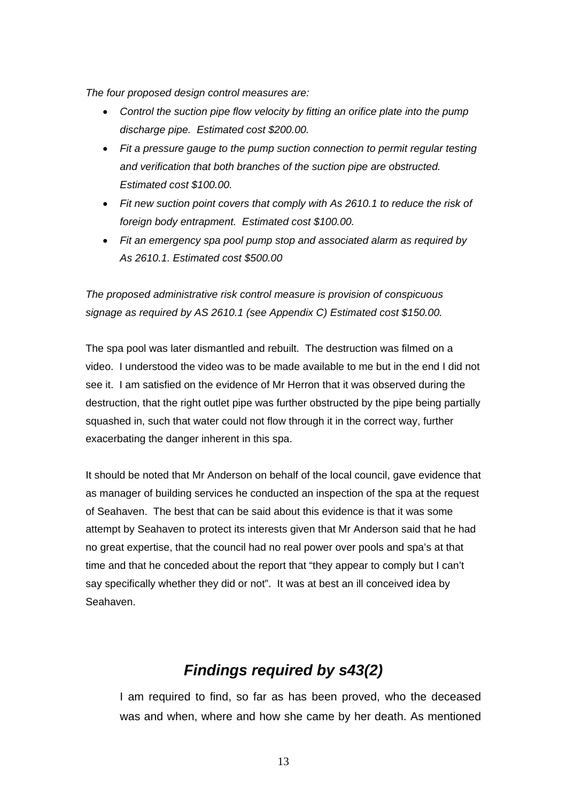*The four proposed design control measures are:* 

- *Control the suction pipe flow velocity by fitting an orifice plate into the pump discharge pipe. Estimated cost \$200.00.*
- *Fit a pressure gauge to the pump suction connection to permit regular testing and verification that both branches of the suction pipe are obstructed. Estimated cost \$100.00.*
- *Fit new suction point covers that comply with As 2610.1 to reduce the risk of foreign body entrapment. Estimated cost \$100.00.*
- *Fit an emergency spa pool pump stop and associated alarm as required by As 2610.1. Estimated cost \$500.00*

*The proposed administrative risk control measure is provision of conspicuous signage as required by AS 2610.1 (see Appendix C) Estimated cost \$150.00.* 

The spa pool was later dismantled and rebuilt. The destruction was filmed on a video. I understood the video was to be made available to me but in the end I did not see it. I am satisfied on the evidence of Mr Herron that it was observed during the destruction, that the right outlet pipe was further obstructed by the pipe being partially squashed in, such that water could not flow through it in the correct way, further exacerbating the danger inherent in this spa.

It should be noted that Mr Anderson on behalf of the local council, gave evidence that as manager of building services he conducted an inspection of the spa at the request of Seahaven. The best that can be said about this evidence is that it was some attempt by Seahaven to protect its interests given that Mr Anderson said that he had no great expertise, that the council had no real power over pools and spa's at that time and that he conceded about the report that "they appear to comply but I can't say specifically whether they did or not". It was at best an ill conceived idea by Seahaven.

# *Findings required by s43(2)*

I am required to find, so far as has been proved, who the deceased was and when, where and how she came by her death. As mentioned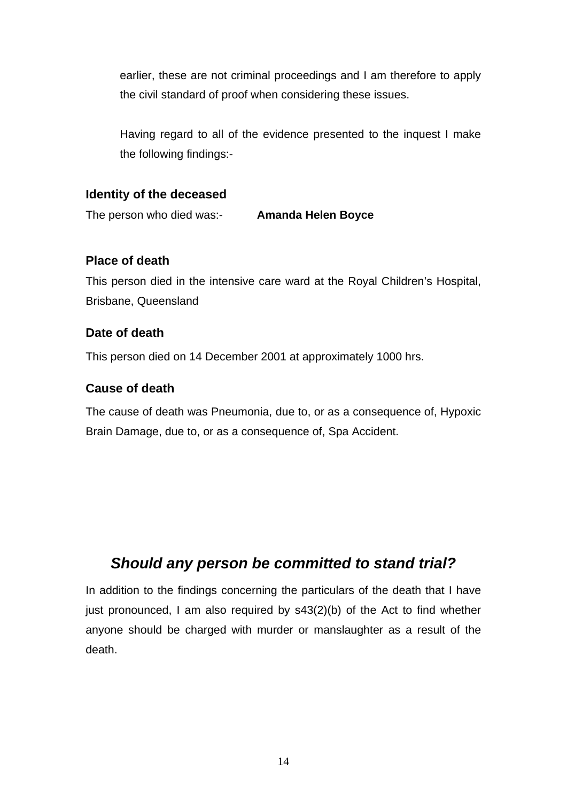earlier, these are not criminal proceedings and I am therefore to apply the civil standard of proof when considering these issues.

Having regard to all of the evidence presented to the inquest I make the following findings:-

### **Identity of the deceased**

The person who died was:- **Amanda Helen Boyce**

### **Place of death**

This person died in the intensive care ward at the Royal Children's Hospital, Brisbane, Queensland

### **Date of death**

This person died on 14 December 2001 at approximately 1000 hrs.

### **Cause of death**

The cause of death was Pneumonia, due to, or as a consequence of, Hypoxic Brain Damage, due to, or as a consequence of, Spa Accident.

## *Should any person be committed to stand trial?*

In addition to the findings concerning the particulars of the death that I have just pronounced, I am also required by s43(2)(b) of the Act to find whether anyone should be charged with murder or manslaughter as a result of the death.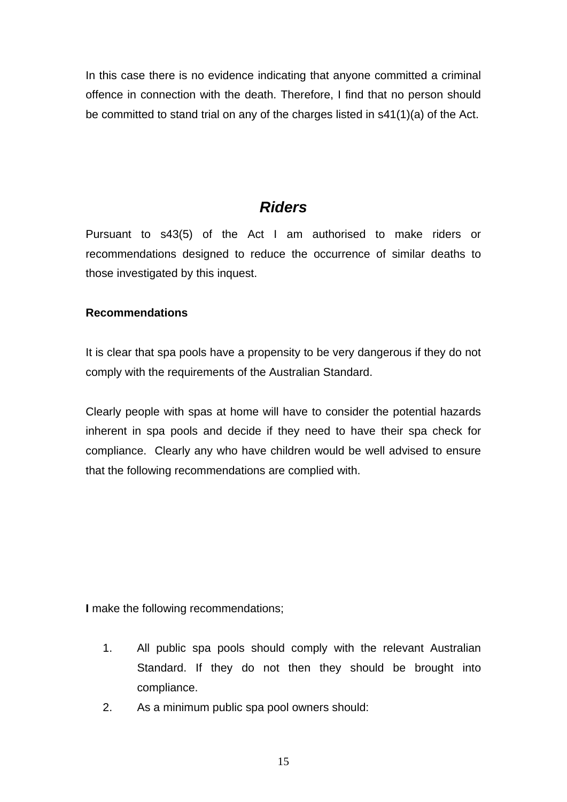In this case there is no evidence indicating that anyone committed a criminal offence in connection with the death. Therefore, I find that no person should be committed to stand trial on any of the charges listed in s41(1)(a) of the Act.

## *Riders*

Pursuant to s43(5) of the Act I am authorised to make riders or recommendations designed to reduce the occurrence of similar deaths to those investigated by this inquest.

### **Recommendations**

It is clear that spa pools have a propensity to be very dangerous if they do not comply with the requirements of the Australian Standard.

Clearly people with spas at home will have to consider the potential hazards inherent in spa pools and decide if they need to have their spa check for compliance. Clearly any who have children would be well advised to ensure that the following recommendations are complied with.

**I** make the following recommendations;

- 1. All public spa pools should comply with the relevant Australian Standard. If they do not then they should be brought into compliance.
- 2. As a minimum public spa pool owners should: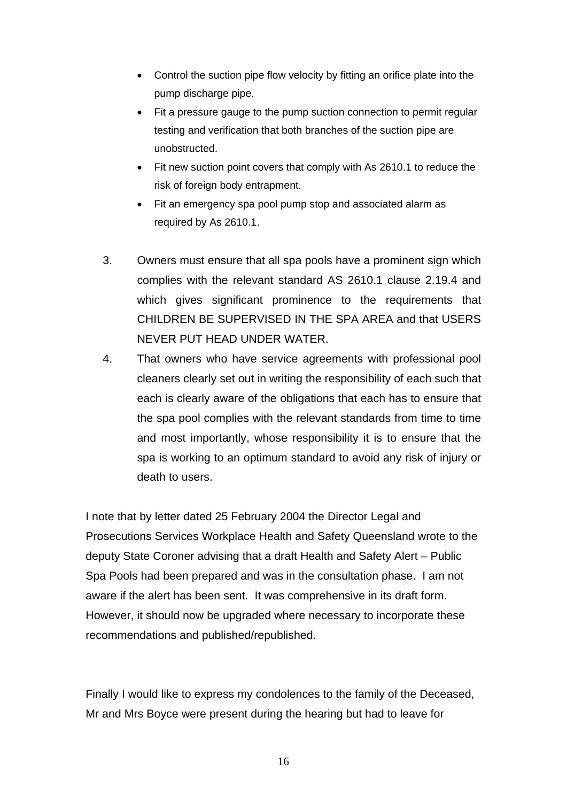- Control the suction pipe flow velocity by fitting an orifice plate into the pump discharge pipe.
- Fit a pressure gauge to the pump suction connection to permit regular testing and verification that both branches of the suction pipe are unobstructed.
- Fit new suction point covers that comply with As 2610.1 to reduce the risk of foreign body entrapment.
- Fit an emergency spa pool pump stop and associated alarm as required by As 2610.1.
- 3. Owners must ensure that all spa pools have a prominent sign which complies with the relevant standard AS 2610.1 clause 2.19.4 and which gives significant prominence to the requirements that CHILDREN BE SUPERVISED IN THE SPA AREA and that USERS NEVER PUT HEAD UNDER WATER.
- 4. That owners who have service agreements with professional pool cleaners clearly set out in writing the responsibility of each such that each is clearly aware of the obligations that each has to ensure that the spa pool complies with the relevant standards from time to time and most importantly, whose responsibility it is to ensure that the spa is working to an optimum standard to avoid any risk of injury or death to users.

I note that by letter dated 25 February 2004 the Director Legal and Prosecutions Services Workplace Health and Safety Queensland wrote to the deputy State Coroner advising that a draft Health and Safety Alert – Public Spa Pools had been prepared and was in the consultation phase. I am not aware if the alert has been sent. It was comprehensive in its draft form. However, it should now be upgraded where necessary to incorporate these recommendations and published/republished.

Finally I would like to express my condolences to the family of the Deceased, Mr and Mrs Boyce were present during the hearing but had to leave for